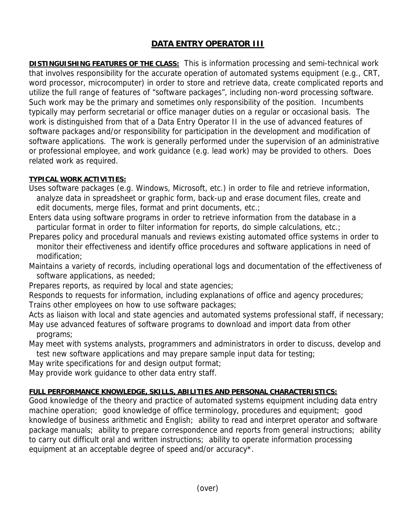## **DATA ENTRY OPERATOR III**

**DISTINGUISHING FEATURES OF THE CLASS:** This is information processing and semi-technical work that involves responsibility for the accurate operation of automated systems equipment (e.g., CRT, word processor, microcomputer) in order to store and retrieve data, create complicated reports and utilize the full range of features of "software packages", including non-word processing software. Such work may be the primary and sometimes only responsibility of the position. Incumbents typically may perform secretarial or office manager duties on a regular or occasional basis. The work is distinguished from that of a Data Entry Operator II in the use of advanced features of software packages and/or responsibility for participation in the development and modification of software applications. The work is generally performed under the supervision of an administrative or professional employee, and work guidance (e.g. lead work) may be provided to others. Does related work as required.

## **TYPICAL WORK ACTIVITIES:**

Uses software packages (e.g. Windows, Microsoft, etc.) in order to file and retrieve information, analyze data in spreadsheet or graphic form, back-up and erase document files, create and edit documents, merge files, format and print documents, etc.;

- Enters data using software programs in order to retrieve information from the database in a particular format in order to filter information for reports, do simple calculations, etc.;
- Prepares policy and procedural manuals and reviews existing automated office systems in order to monitor their effectiveness and identify office procedures and software applications in need of modification;
- Maintains a variety of records, including operational logs and documentation of the effectiveness of software applications, as needed;
- Prepares reports, as required by local and state agencies;

Responds to requests for information, including explanations of office and agency procedures; Trains other employees on how to use software packages;

Acts as liaison with local and state agencies and automated systems professional staff, if necessary; May use advanced features of software programs to download and import data from other programs;

May meet with systems analysts, programmers and administrators in order to discuss, develop and test new software applications and may prepare sample input data for testing;

May write specifications for and design output format;

May provide work guidance to other data entry staff.

## **FULL PERFORMANCE KNOWLEDGE, SKILLS, ABILITIES AND PERSONAL CHARACTERISTICS:**

Good knowledge of the theory and practice of automated systems equipment including data entry machine operation; good knowledge of office terminology, procedures and equipment; good knowledge of business arithmetic and English; ability to read and interpret operator and software package manuals; ability to prepare correspondence and reports from general instructions; ability to carry out difficult oral and written instructions; ability to operate information processing equipment at an acceptable degree of speed and/or accuracy\*.